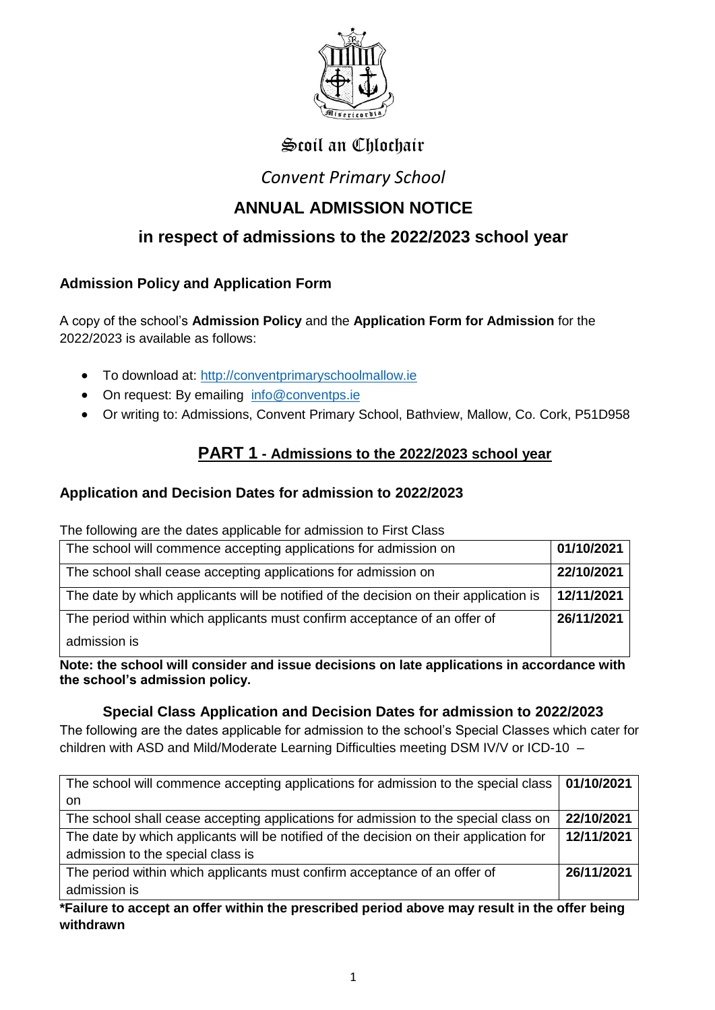

# Scoil an Chlochair

## *Convent Primary School*

# **ANNUAL ADMISSION NOTICE**

## **in respect of admissions to the 2022/2023 school year**

## **Admission Policy and Application Form**

A copy of the school's **Admission Policy** and the **Application Form for Admission** for the 2022/2023 is available as follows:

- To download at: [http://conventprimaryschoolmallow.ie](about:blank)
- On request: By emailing [info@conventps.ie](about:blank)
- Or writing to: Admissions, Convent Primary School, Bathview, Mallow, Co. Cork, P51D958

## **PART 1 - Admissions to the 2022/2023 school year**

#### **Application and Decision Dates for admission to 2022/2023**

The following are the dates applicable for admission to First Class

| The school will commence accepting applications for admission on                      | 01/10/2021 |
|---------------------------------------------------------------------------------------|------------|
| The school shall cease accepting applications for admission on                        | 22/10/2021 |
| The date by which applicants will be notified of the decision on their application is | 12/11/2021 |
| The period within which applicants must confirm acceptance of an offer of             | 26/11/2021 |
| admission is                                                                          |            |

**Note: the school will consider and issue decisions on late applications in accordance with the school's admission policy.**

#### **Special Class Application and Decision Dates for admission to 2022/2023**

The following are the dates applicable for admission to the school's Special Classes which cater for children with ASD and Mild/Moderate Learning Difficulties meeting DSM IV/V or ICD-10 –

| The school will commence accepting applications for admission to the special class     | 01/10/2021 |
|----------------------------------------------------------------------------------------|------------|
| on                                                                                     |            |
| The school shall cease accepting applications for admission to the special class on    | 22/10/2021 |
| The date by which applicants will be notified of the decision on their application for | 12/11/2021 |
| admission to the special class is                                                      |            |
| The period within which applicants must confirm acceptance of an offer of              | 26/11/2021 |
| admission is                                                                           |            |

**\*Failure to accept an offer within the prescribed period above may result in the offer being withdrawn**